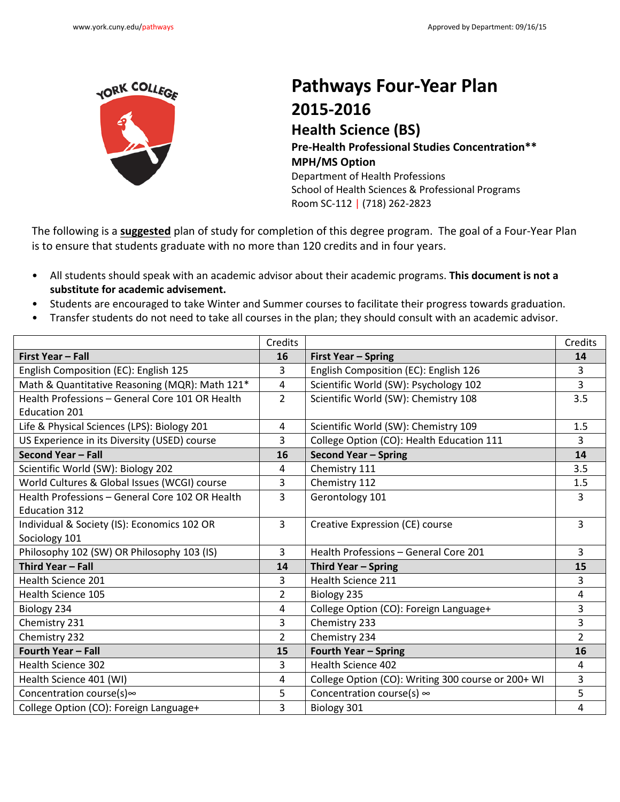

Г

## **Pathways Four-Year Plan 2015-2016**

**Health Science (BS) Pre-Health Professional Studies Concentration\*\* MPH/MS Option** Department of Health Professions School of Health Sciences & Professional Programs Room SC-112 | (718) 262-2823

The following is a **suggested** plan of study for completion of this degree program. The goal of a Four-Year Plan is to ensure that students graduate with no more than 120 credits and in four years.

- All students should speak with an academic advisor about their academic programs. **This document is not a substitute for academic advisement.**
- Students are encouraged to take Winter and Summer courses to facilitate their progress towards graduation.
- Transfer students do not need to take all courses in the plan; they should consult with an academic advisor.

|                                                 | Credits        |                                                    | Credits        |
|-------------------------------------------------|----------------|----------------------------------------------------|----------------|
| First Year - Fall                               | 16             | <b>First Year - Spring</b>                         | 14             |
| English Composition (EC): English 125           | 3              | English Composition (EC): English 126              | 3              |
| Math & Quantitative Reasoning (MQR): Math 121*  | 4              | Scientific World (SW): Psychology 102              | $\overline{3}$ |
| Health Professions - General Core 101 OR Health | $\overline{2}$ | Scientific World (SW): Chemistry 108               | 3.5            |
| <b>Education 201</b>                            |                |                                                    |                |
| Life & Physical Sciences (LPS): Biology 201     | 4              | Scientific World (SW): Chemistry 109               | 1.5            |
| US Experience in its Diversity (USED) course    | 3              | College Option (CO): Health Education 111          | 3              |
| Second Year - Fall                              | 16             | Second Year - Spring                               | 14             |
| Scientific World (SW): Biology 202              | 4              | Chemistry 111                                      | 3.5            |
| World Cultures & Global Issues (WCGI) course    | 3              | Chemistry 112                                      | 1.5            |
| Health Professions - General Core 102 OR Health | 3              | Gerontology 101                                    | 3              |
| <b>Education 312</b>                            |                |                                                    |                |
| Individual & Society (IS): Economics 102 OR     | 3              | Creative Expression (CE) course                    | 3              |
| Sociology 101                                   |                |                                                    |                |
| Philosophy 102 (SW) OR Philosophy 103 (IS)      | 3              | Health Professions - General Core 201              | 3              |
| Third Year - Fall                               | 14             | Third Year - Spring                                | 15             |
| <b>Health Science 201</b>                       | 3              | <b>Health Science 211</b>                          | 3              |
| <b>Health Science 105</b>                       | $\overline{2}$ | Biology 235                                        | 4              |
| Biology 234                                     | 4              | College Option (CO): Foreign Language+             | 3              |
| Chemistry 231                                   | 3              | Chemistry 233                                      | 3              |
| Chemistry 232                                   | $\overline{2}$ | Chemistry 234                                      | $\overline{2}$ |
| <b>Fourth Year - Fall</b>                       | 15             | <b>Fourth Year - Spring</b>                        | 16             |
| <b>Health Science 302</b>                       | 3              | Health Science 402                                 | 4              |
| Health Science 401 (WI)                         | 4              | College Option (CO): Writing 300 course or 200+ WI | 3              |
| Concentration course(s) $\infty$                | 5              | Concentration course(s) $\infty$                   | 5              |
| College Option (CO): Foreign Language+          | 3              | Biology 301                                        | 4              |